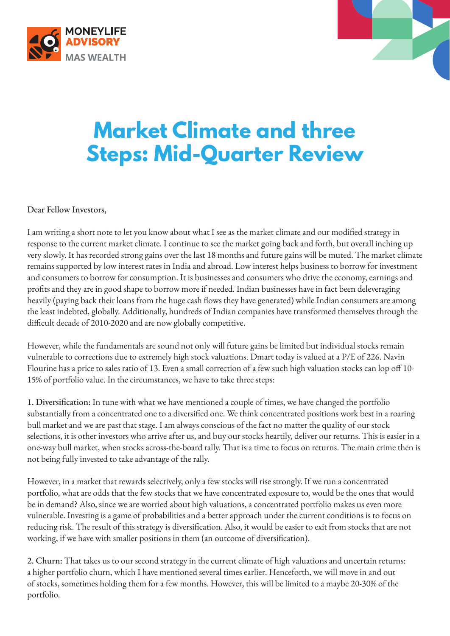



## **Market Climate and three Steps: Mid-Quarter Review**

Dear Fellow Investors,

I am writing a short note to let you know about what I see as the market climate and our modified strategy in response to the current market climate. I continue to see the market going back and forth, but overall inching up very slowly. It has recorded strong gains over the last 18 months and future gains will be muted. The market climate remains supported by low interest rates in India and abroad. Low interest helps business to borrow for investment and consumers to borrow for consumption. It is businesses and consumers who drive the economy, earnings and profits and they are in good shape to borrow more if needed. Indian businesses have in fact been deleveraging heavily (paying back their loans from the huge cash flows they have generated) while Indian consumers are among the least indebted, globally. Additionally, hundreds of Indian companies have transformed themselves through the difficult decade of 2010-2020 and are now globally competitive.

However, while the fundamentals are sound not only will future gains be limited but individual stocks remain vulnerable to corrections due to extremely high stock valuations. Dmart today is valued at a P/E of 226. Navin Flourine has a price to sales ratio of 13. Even a small correction of a few such high valuation stocks can lop off 10- 15% of portfolio value. In the circumstances, we have to take three steps:

1. Diversification: In tune with what we have mentioned a couple of times, we have changed the portfolio substantially from a concentrated one to a diversified one. We think concentrated positions work best in a roaring bull market and we are past that stage. I am always conscious of the fact no matter the quality of our stock selections, it is other investors who arrive after us, and buy our stocks heartily, deliver our returns. This is easier in a one-way bull market, when stocks across-the-board rally. That is a time to focus on returns. The main crime then is not being fully invested to take advantage of the rally.

However, in a market that rewards selectively, only a few stocks will rise strongly. If we run a concentrated portfolio, what are odds that the few stocks that we have concentrated exposure to, would be the ones that would be in demand? Also, since we are worried about high valuations, a concentrated portfolio makes us even more vulnerable. Investing is a game of probabilities and a better approach under the current conditions is to focus on reducing risk. The result of this strategy is diversification. Also, it would be easier to exit from stocks that are not working, if we have with smaller positions in them (an outcome of diversification).

2. Churn: That takes us to our second strategy in the current climate of high valuations and uncertain returns: a higher portfolio churn, which I have mentioned several times earlier. Henceforth, we will move in and out of stocks, sometimes holding them for a few months. However, this will be limited to a maybe 20-30% of the portfolio.